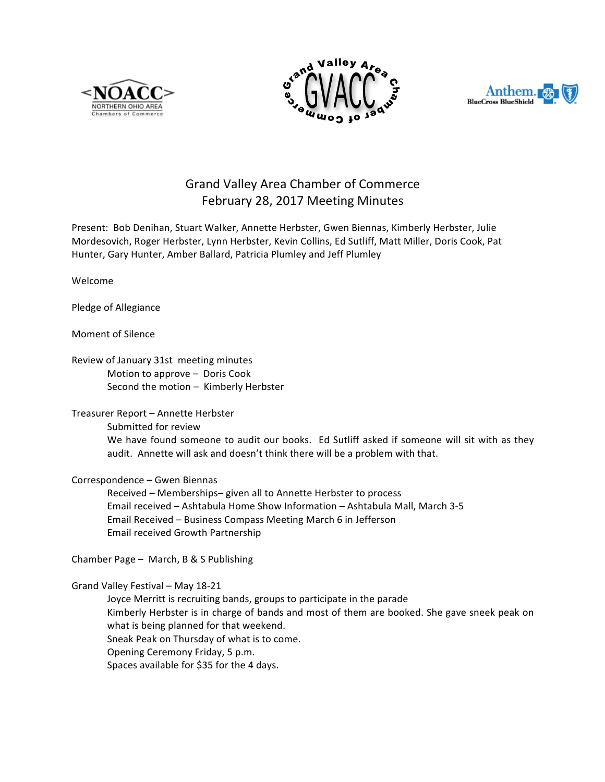





## Grand Valley Area Chamber of Commerce February 28, 2017 Meeting Minutes

Present: Bob Denihan, Stuart Walker, Annette Herbster, Gwen Biennas, Kimberly Herbster, Julie Mordesovich, Roger Herbster, Lynn Herbster, Kevin Collins, Ed Sutliff, Matt Miller, Doris Cook, Pat Hunter, Gary Hunter, Amber Ballard, Patricia Plumley and Jeff Plumley

Welcome

Pledge of Allegiance

Moment of Silence

Review of January 31st meeting minutes Motion to approve  $-$  Doris Cook Second the motion  $-$  Kimberly Herbster

## Treasurer Report - Annette Herbster

Submitted for review

We have found someone to audit our books. Ed Sutliff asked if someone will sit with as they audit. Annette will ask and doesn't think there will be a problem with that.

Correspondence - Gwen Biennas

Received - Memberships- given all to Annette Herbster to process Email received - Ashtabula Home Show Information - Ashtabula Mall, March 3-5 Email Received - Business Compass Meeting March 6 in Jefferson Email received Growth Partnership

Chamber Page - March, B & S Publishing

## Grand Valley Festival - May 18-21

Joyce Merritt is recruiting bands, groups to participate in the parade Kimberly Herbster is in charge of bands and most of them are booked. She gave sneek peak on what is being planned for that weekend. Sneak Peak on Thursday of what is to come. Opening Ceremony Friday, 5 p.m. Spaces available for \$35 for the 4 days.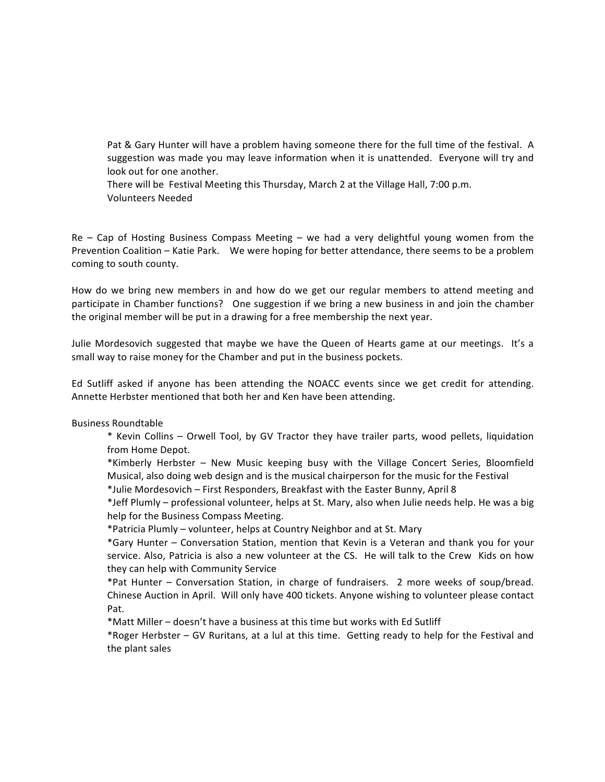Pat & Gary Hunter will have a problem having someone there for the full time of the festival. A suggestion was made you may leave information when it is unattended. Everyone will try and look out for one another.

There will be Festival Meeting this Thursday, March 2 at the Village Hall, 7:00 p.m. Volunteers Needed

Re – Cap of Hosting Business Compass Meeting – we had a very delightful young women from the Prevention Coalition – Katie Park. We were hoping for better attendance, there seems to be a problem coming to south county.

How do we bring new members in and how do we get our regular members to attend meeting and participate in Chamber functions? One suggestion if we bring a new business in and join the chamber the original member will be put in a drawing for a free membership the next year.

Julie Mordesovich suggested that maybe we have the Queen of Hearts game at our meetings. It's a small way to raise money for the Chamber and put in the business pockets.

Ed Sutliff asked if anyone has been attending the NOACC events since we get credit for attending. Annette Herbster mentioned that both her and Ken have been attending.

## Business Roundtable

\* Kevin Collins – Orwell Tool, by GV Tractor they have trailer parts, wood pellets, liquidation from Home Depot.

\*Kimberly Herbster – New Music keeping busy with the Village Concert Series, Bloomfield Musical, also doing web design and is the musical chairperson for the music for the Festival

\*Julie Mordesovich – First Responders, Breakfast with the Easter Bunny, April 8

\*Jeff Plumly – professional volunteer, helps at St. Mary, also when Julie needs help. He was a big help for the Business Compass Meeting.

\*Patricia Plumly – volunteer, helps at Country Neighbor and at St. Mary

\*Gary Hunter – Conversation Station, mention that Kevin is a Veteran and thank you for your service. Also, Patricia is also a new volunteer at the CS. He will talk to the Crew Kids on how they can help with Community Service

\*Pat Hunter – Conversation Station, in charge of fundraisers. 2 more weeks of soup/bread. Chinese Auction in April. Will only have 400 tickets. Anyone wishing to volunteer please contact Pat.

\*Matt Miller – doesn't have a business at this time but works with Ed Sutliff

\*Roger Herbster – GV Ruritans, at a lul at this time. Getting ready to help for the Festival and the plant sales